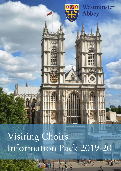Visiting Choirs Information Pack 2019-20

h I

Westminster

**Abbey** 

۵

₩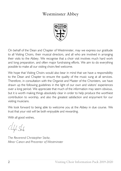# **Westminster Abbey**



On behalf of the Dean and Chapter of Westminster, may we express our gratitude to all Visiting Choirs, their musical directors, and all who are involved in arranging their visits to the Abbey. We recognise that a choir visit involves much hard work and long preparation, and often major fundraising efforts. We aim to do everything possible to make all our visiting choirs feel welcome.

We hope that Visiting Choirs would also bear in mind that we have a responsibility to the Dean and Chapter to ensure the quality of the music sung at all services. Therefore, in consultation with the Organist and Master of the Choristers, we have drawn up the following guidelines in the light of our own and visitors' experiences over a long period. We appreciate that much of the information may seem obvious, but it is worth making things absolutely clear in order to help produce the worthiest contribution to worship, and also the greatest satisfaction and enjoyment for our visiting musicians.

We look forward to being able to welcome you at the Abbey in due course. We trust that your visit will be both enjoyable and rewarding.

With all good wishes,

 $\mathcal{L}_{\text{high}}$   $\mathcal{L}_{\text{high}}$ 

*The Reverend Christopher Stoltz, Minor Canon and Precentor of Westminster*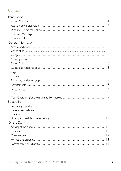# Contents

<span id="page-2-0"></span>

| Introduction        |
|---------------------|
|                     |
|                     |
|                     |
|                     |
|                     |
| General Information |
|                     |
|                     |
|                     |
|                     |
|                     |
|                     |
|                     |
|                     |
|                     |
|                     |
|                     |
|                     |
|                     |
| Repertoire          |
|                     |
|                     |
|                     |
|                     |
| On the Day          |
|                     |
|                     |
|                     |
|                     |
|                     |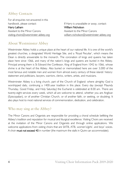# **Abbey Contacts**

For all enquiries not answered in this handbook, please contact: Harry Latham

Assistant to the Minor Canons visiting.choirs@wesminster-abbey.org

If Harry is unavailable or away, contact: William Nicholson Assistant to the Minor Canons [william.nicholson@westminster-abbey.org](mailto:william.nicholson@westminster-abbey.org)

# <span id="page-3-0"></span>**About Westminster Abbey**

Westminster Abbey holds a unique place at the heart of our national life. It is one of the world's greatest churches, a designated World Heritage Site, and a 'Royal Peculiar', which means the Dean is directly answerable to the monarch. The coronation of kings and queens has taken place here since 1066, and many of the nation's kings and queens are buried in the Abbey. Principal among them is St Edward the Confessor, King of England from 1042 to 1066, whose shrine is at the heart of the Abbey. Also buried or memorialised here are over 3,000 of the most famous and notable men and women from almost every century of these islands' history: statesmen and politicians, lawyers, warriors, clerics, writers, artists, and musicians.

Westminster Abbey is a living church, part of the Church of England: where almighty God is worshipped daily, continuing a 1400-year tradition in this place. Every day (except Maundy Thursday, Good Friday, and Holy Saturday) the Eucharist is celebrated at 8.00 am. There are twenty-eight services every week, which all are welcome to attend, whether you are Anglican (Episcopalian), or of another Christian Church, or of another faith, or seeking, or doubting. It also plays host to most national services of commemoration, dedication, and celebration.

### <span id="page-3-1"></span>Who may sing at the Abbey?

<span id="page-3-2"></span>The Minor Canons and Organists are responsible for providing a choral schedule befitting the Abbey's tradition and reputation for musical and liturgical excellence. Visiting Choirs are received at the invitation of the Minor Canons and Organists and through online applications. We welcome applications from visiting choirs that are SATB, ATB, women's/girls', and boys' voices. A choir must not exceed 40 in number (the maximum the stalls in Quire can accommodate).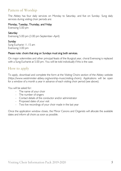# Pattern of Worship

The Abbey has four daily services on Monday to Saturday, and five on Sunday. Sung daily services during visiting choir periods are:

#### Monday, Tuesday, Thursday, and Friday

Evensong 5.00 pm

#### Saturday

Evensong 5.00 pm (3.00 pm September–April)

#### **Sunday**

Sung Eucharist 11.15 am Evensong 3.00 pm

#### Please note: choirs that sing on Sundays must sing both services.

On major solemnities and other principal feasts of the liturgical year, choral Evensong is replaced with a Sung Eucharist at 5.00 pm. You will be told individually if this is the case.

## How to apply

To apply, download and complete the form at the Visiting Choirs section of the Abbey website (https://www.westminster-abbey.org/worship-music/visiting-choirs). Applications will be open for a window of a month a year in advance of each visiting choir period (see above).

You will be asked for:

- The name of your choir
- The number of singers
- Contact details of the conductor and/or administrator
- Proposed dates of your visit
- Two live recordings of your choir made in the last year

Once the application window closes, the Minor Canons and Organists will allocate the available dates and inform all choirs as soon as possible.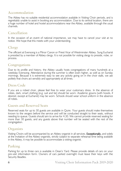## <span id="page-5-0"></span>Accommodation

The Abbey has no suitable residential accommodation available in Visiting Choir periods, and is regrettably unable to assist in booking any accommodation. Due to its central location, there are a huge number of hotel and hostel accommodations near the Abbey, available through the usual channels.

## <span id="page-5-1"></span>Cancellation

In the occasion of an event of national importance, we may have to cancel your visit at no notice. We hope that this meets with your understanding.

### Clergy

The officiant at Evensong is a Minor Canon or Priest Vicar of Westminster Abbey. Sung Eucharist is presided by a member of Abbey clergy. It is not possible for visiting clergy to preside, robe, or process.

### <span id="page-5-2"></span>Congregations

Due to its profile and history, the Abbey usually hosts congregations of many hundreds at a weekday Evensong. Attendance during the summer is often even higher, as well as on Sunday mornings. Because it is extremely easy to see any activity going on in the choir stalls, we ask politely that choirs act sensibly and appropriately at all times.

### <span id="page-5-3"></span>Dress Code

If you are a robed choir, please feel free to wear your customary dress. In the absence of robes, dark, smart clothing (e.g. suit and tie) should be worn. Academic gowns (with hoods, if desired, except at Eucharist) may be worn. Schools should wear school uniform in the absence of robes.

### <span id="page-5-4"></span>**Guests and Reserved Seats**

Reserved seats for up to 30 guests are available in Quire. Your guests should make themselves known to the vergers before the service and will be conducted straight to their seats, without needing to queue. Guests should aim to arrive for 4.30. We cannot provide reserved seating for more than 30 guests, and any guests above that number will be seated with the rest of the congregation.

### <span id="page-5-5"></span>Organists

Visiting Choirs will be accompanied by an Abbey organist in all services. Exceptionally, and solely at the invitation of the Abbey organists, strictly subject to separate rehearsal time being available in the Abbey, it may be possible to accommodate a visiting organist.

### <span id="page-5-6"></span>Parking

<span id="page-5-7"></span>Parking for up to three cars is available in Dean's Yard. Please provide details of cars on your pre-visit information form. Owners of cars parked overnight must leave their keys with the Security Beadles.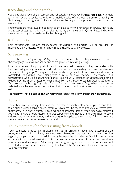## Recordings and photographs

Audio and video-recording of services and rehearsals in the Abbey is strictly forbidden. Attempts to film or record a service covertly on a mobile device often prove extremely distracting to choir, clergy, and congregation. Please make sure that any choir supporters in attendance are aware of this rule.

Photographs are not allowed to be taken at any time during the rehearsal or service. However, one group photograph only may be taken following the rehearsal in Quire. Please indicate to the verger on duty if you wish to take this photograph.

### <span id="page-6-0"></span>Refreshments

Light refreshments—tea and coffee, squash for children, and biscuits—will be provided for choirs and their directors. Refreshments will be delivered to Cheyneygates.

## <span id="page-6-1"></span>Safeguarding

The Abbey's *Safeguarding Policy* can be found here: [http://www.westminster](http://www.westminster-abbey.org/legal/westminster-abbey-and-st-margarets-church-safeguarding)[abbey.org/legal/westminster-abbey-and-st-margarets-church-safeguarding.](http://www.westminster-abbey.org/legal/westminster-abbey-and-st-margarets-church-safeguarding)

In accordance with this policy, visiting choirs are required to state that they are satisfied with their own safeguarding measures, and that there are no safeguarding concerns regarding any member of their group. We require that you familiarise yourself with our policies and submit a completed *Safeguarding Form*, along with a list of all choir members, chaperones, and administrators who will be attending as part of your group. Wristbands for all those listed can be collected by the choir director on your arrival from the Abbey Reception Desk at 20 Dean's Yard (except on Boxing Day, New Year's Eve, and New Year's Day, when they can be collected from the information desk in the North Transept), and must be worn throughout your visit.

#### Your choir will not be able to sing at Westminster Abbey if this form and list are not submitted.

### <span id="page-6-2"></span>Tours

The Abbey can offer visiting choirs and their directors a complimentary audio-guided tour, to be taken during visitor opening hours, details of which may be found at [http://www.westminster](http://www.westminster-abbey.org/visit-us/opening-times)[abbey.org/visit-us/opening-times.](http://www.westminster-abbey.org/visit-us/opening-times) Please tick the appropriate box on your repertoire request if you want to have a tour. Please note that supporters and friends of the choir have to pay a reduced rate of entry for a tour, and free entry only applies to the choir itself. Please note that there is no entry for tours between noon and 1 pm.

## <span id="page-6-3"></span>Tour Operators (for choirs visiting from abroad)

Tour operators provide an invaluable service in organising travel and accommodation arrangements for choirs visiting from overseas. However, we ask that all communication regarding the particulars of your visit is directly between the choir director/administrator and the Abbey visiting choirs administrator. This is to ensure a single point of contact and avoid any possible crossed messages. Additionally, for safeguarding reasons, tour operators are not permitted to accompany the choir during their time at the Abbey unless their name is listed on your pre-visit form.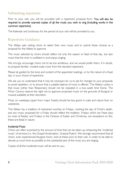# <span id="page-7-0"></span>Submitting repertoire

Prior to your visit, you will be provided with a repertoire proposal form. You will also be required to provide scanned copies of all the music you wish to sing (including works in the common repertoire).

The Kalendar and Lectionary for the period of your visit will be provided to you.

## <span id="page-7-1"></span>**Repertoire Guidance**

The Abbey asks visiting choirs to select their own music and to submit these choices as a proposal for the Abbey to approve.

The music selected by choirs should reflect not only the season or feast of that day, but also music that the choir is confident in and enjoys singing.

We *strongly* encourage choirs not to be too ambitious, and we would prefer them, if in doubt, to propose familiar, modest-scale music from the standard repertoire.

Please be guided by the tone and content of the appointed readings, or by the nature of a Feast day, in your choice of repertoire.

We ask you to understand that it may be necessary for us to ask for changes to your proposals to avoid repetition, or to ensure that a suitable balance of music is offered. The Abbey's policy is that music (other than Responses) should not be repeated in a two-week time frame. The Minor Canons reserve the right not to approve proposed music on the grounds of liturgical or musical suitability at their discretion.

Music on weekdays (apart from major Feasts) should be less grand in scale and nature than on weekends.

The Abbey has a tradition of restrained worship on Fridays, marking the day of Christ's death, and any music proposed for a Friday should reflect this tradition. Fridays which are Feast days (or eves of feasts), and Fridays in the Octaves of Easter and Christmas, are exceptions to this; these are festal in nature.

### Incidental Music

Choirs are often surprised by the amount of time that can be taken up rehearsing the 'incidental music' of services (i.e. the Gospel Acclamation, Gradual Psalm). We strongly recommend that all choirs, even experienced liturgical choirs, look at these prior to their visit, in order to be able to devote as much time as possible to the substantial part of the music you are singing.

Copies of all the incidental music will be sent to you.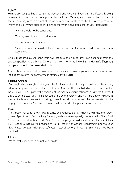### **Hymns**

Hymns are sung at Eucharist, and at weekend and weekday Evensongs if a Festival is being observed that day. Hymns are appointed by the Minor Canons, and choirs will be informed of them when they receive a proof of the order of service for them to check. It is not possible to inform choirs of hymns prior to this point, as they won't have been chosen yet. Please note:

Hymns should not be conducted.

The organist dictates start and tempo.

No descants should be sung.

Where harmony is provided, the first and last verses of a hymn should be sung in unison regardless.

Choirs must produce and bring their own copies of the hymns, both music and text, from the sources specified by the Minor Canons (most commonly the New English Hymnal). There are no hymn books for the use of visiting choirs.

Choirs should ensure that the words of hymns match the words given in any order of service (copies of which will be sent to you in advance of your visit).

### National Anthem

On certain days throughout the year, the National Anthem is sung at services in the Abbey, often marking an anniversary of an event in the Queen's life, or a birthday of a member of the Royal Family. This is part of the tradition of the Abbey's unique relationship with the Crown. If this is to be the case, you will be advised of this by the vergers, and it will be clearly indicated in the service books. We ask that visiting choirs from all countries lead the congregation in the singing of the National Anthem. The words will be found in the printed service books.

### Psalms

The Abbey maintains its own psalm cycle, and requires that all visiting choirs use the Abbey psalter. Apart from at Sunday Sung Eucharist, each psalm (except 42) concludes with Gloria Patri ('Glory be…world without end. Amen'). The congregation will stand before the final Gloria Patri. Copies of psalms will provided to you by the Minor Canons' Department prior to your visit. Please contact visiting.choirs@westminster-abbey.org if your psalms have not been provided.

### **Introits**

We ask that visiting choirs do not sing Introits.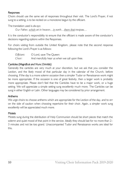#### <span id="page-9-0"></span>Responses

Choirs should use the same set of responses throughout their visit. The Lord's Prayer, if not sung to a setting, is to be recited on a monotone begun by the officiant.

The translation used is *alw ays*:

*O ur Father, w hich art in heaven…in earth…them that trespass…*

It is the conductor's responsibility to ensure that the officiant is made aware of the conductor's decisions regarding options within the Responses.

For choirs visiting from outside the United Kingdom, please note that the second response following the Lord's Prayer is as follows:

| O fficiant: | O Lord, save The Queen:                        |
|-------------|------------------------------------------------|
| Choir:      | And mercifully hear us when we call upon thee. |

### Canticles (*Magnificat and Nunc Dimittis*)

Generally the canticles are very much at your discretion, but we ask that you consider the Lection, and the likely mood of that particular day in the calendar of the Church, before choosing. If the day is a more solemn occasion then a simpler Tudor or Renaissance work might be more appropriate. If the occasion is one of great festivity, then a larger work is probably more appropriate. Please don't feel that the Canticles have to be a major work, or a huge setting. We will appreciate a simple setting sung excellently much more. The Canticles can be sung in either English or Latin. Other languages may be considered by prior arrangement.

#### Anthems

We urge choirs to choose anthems which are appropriate for the Lection of the day, and to err on the side of caution when choosing repertoire for their choir. Again, a simpler work sung excellently will be appreciated much more.

### **Motets**

<span id="page-9-1"></span>Motets sung during the distribution of Holy Communion should be short pieces that match the solemn and quiet mood of that point in the service. Ideally they should last for no more than 2– 3 minutes and not be too grand. Unaccompanied Tudor and Renaissance works are ideal for this.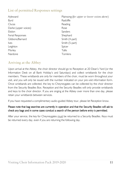# List of permitted Responses settings

| Ayleward             |
|----------------------|
| Byrd                 |
| Clucas               |
| Darke (upper voices) |
| Fbdon                |
| Ferial Responses     |
| Gibbons/Barnard      |
| <i>lves</i>          |
| Leighton             |
| Morley               |
| Nardone              |

Plainsong (*for upper or low er voices alone*) Radcliffe Reading Rose Sanders Shephard Smith (4-part) Smith (5-part) Spicer **Tallis Tomkins** 

## <span id="page-10-0"></span>Arriving at the Abbey

Upon arrival at the Abbey, the choir director should go to Reception at 20 Dean's Yard (or the Information Desk on all Bank Holiday's and Saturdays) and collect wristbands for the choir members. These wristbands are only for members of the choir, must be worn throughout your visit, and you will only be issued with the number indicated on your pre-visit information form. Once wristbands are collected, the key to Cheyneygates can be collected by the choir director from the Security Beadles Box. Reception and the Security Beadles will only provide wristbands and keys to the choir director. If you are singing at the Abbey over more than one day, please retain your wristbands between services.

If you have requested a complimentary audio-guided Abbey tour, please let Reception know.

### Please note that bag searches are currently in operation and that the Security Beadles will ask to check any bags and in some cases conduct a search of the person before entry is permitted.

<span id="page-10-1"></span>After your service, the key for Cheyneygates must be returned to a Security Beadles. Keys must be returned every day, even if you are returning the following day.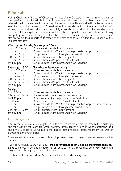## Rehearsals

Visiting Choirs have the use of Cheyneygates, just off the Cloisters, for rehearsals on the day of their performance. Robed choirs should wear cassocks only, not surplices, when they are rehearsing with the vergers in the Abbey. Rehearsals in the Abbey itself will not be available at any other time than below. The Organist will not be available until the times listed below. We strongly advise and ask that all choirs come fully musically prepared and that the available warm up time in Cheyneygates and rehearsal with the Abbey organist are used merely for fine tuning and getting accustomed to singing in the Abbey. Our overwhelming experience of choirs who attempt to put their repertoire together on the day of performing is that they fall short of the required standard.

#### Weekday and Saturday Evensongs at 5.00 pm

| from $12.00$ noon    | Cheyneygates available for rehearsal                                        |
|----------------------|-----------------------------------------------------------------------------|
| 3.40 pm              | Choir moves to the West Cloisters in preparation for processional rehearsal |
| 3.45 pm - 4.00 pm    | Verger walks the choir through processional route                           |
| 4.00 pm-4.30 pm      | Choir rehearses with Abbey organist                                         |
| 4.30 pm-4.35 pm      | Choir rehearses Responses with Officiant                                    |
| by $4.40 \text{ pm}$ | Choir vacates Quire in preparation for Evensong                             |
|                      | Evensongs at 3.00 pm (Saturdays in September–April)                         |

|                               | $-$ . The stripe are stated print (section and stated by sections of $\sim$ 1 print) |
|-------------------------------|--------------------------------------------------------------------------------------|
| from $12.00$ noon             | Cheyneygates available for rehearsal                                                 |
| 1.40 pm                       | Choir moves to the West Cloisters in preparation for processional rehearsal          |
| $1.45$ pm $-2.00$ pm          | Verger walks the choir through processional route                                    |
| $2.00$ pm $-2.30$ pm          | Choir rehearses with Abbey organist                                                  |
| $2.30$ pm $-2.35$ pm          | Choir rehearses Responses with Officiant                                             |
| by $2.40 \text{ pm}$          | Choir vacates Quire in preparation for Evensong                                      |
| Sundays                       |                                                                                      |
| from $8.00$ am                | Cheyneygates available for rehearsal                                                 |
| 9.00 am-9.35 am               | Rehearsal with the Abbey organist in Quire                                           |
| by $9.40 \text{ pm}$          | Choir vacates Quire in preparation for Said Matins                                   |
| 11.10 am                      | Choir lines up for the 11.15 am Eucharist                                            |
| $\overline{1}$ $\overline{1}$ |                                                                                      |

1.40 pm Choir moves to the West Cloisters in preparation for processional rehearsal

1.45 pm Verger walks the choir through processional route 2.00 pm–2.35 pm Choir rehearses with Abbey organist

by 2.40 pm Choir vacates Quire in preparation for Evensong

### <span id="page-11-0"></span>Cheyneygates

Your rehearsal venue, Cheyneygates, and its environs are extraordinary, listed historic buildings, and their fabric is therefore extremely delicate. Please bear this in mind when consuming food and drink. Dispose of all rubbish in the bins or bags provided. Please report any spillages or damage to a member of staff.

Cheyneygates is up a set of stairs with no lift provision. We apologise for any inconvenience this may cause.

You will have a key to the main door; **the door must not be left unlocked and unattended at any point** during your stay, and it should remain shut during any rehearsals, otherwise tourists are likely to enter through it, unaware of what it is.

The key must be returned to a Security Beadles at the end of every day.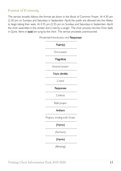# <span id="page-12-0"></span>Format of Evensong

The service broadly follows the format set down in the Book of Common Prayer. At 4.30 pm (2.30 pm on Sundays and Saturdays in September–April) the public are allowed into the Abbey to begin taking their seats. At 4.55 pm (2.55 pm on Sundays and Saturdays in September–April) the choir assembles in the cloister and is met by a verger. The choir process into the Choir Stalls in Quire. Items in bold are sung by the choir. The service proceeds unannounced.

#### *Penitential Introduction and* Responses

| Psalm(s)                   |
|----------------------------|
| First Lesson               |
| Magnificat                 |
| Second Lesson              |
| Nunc dimittis              |
| Creed                      |
| Responses                  |
| Collects                   |
| Bath prayer                |
| Anthem                     |
| Prayers, ending with Grace |
| (Hymn)                     |
| (Sermon)                   |
| (Hymn)                     |
| (Blessing)                 |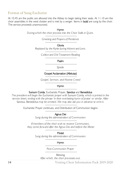### <span id="page-13-0"></span>**Format of Sung Eucharist**

At 10.45 am the public are allowed into the Abbey to begin taking their seats. At 11.10 am the choir assembles in the west cloister and is met by a verger. Items in **bold** are sung by the choir. The service proceeds unannounced.

#### Hymn

*During w hich the choir process into the Choir Stalls in Q uire.*

*Greeting and Prayers of Penitence*

Gloria

*Replaced by the* Kyrie *during Advent and Lent.*

*Collect and O ld Testament Reading*

Psalm

*Epistle*

Gospel Acclamation (Alleluias)

*Gospel, Sermon, and Nicene Creed*

Hymn

#### Sursum Corda, Eucharistic Prayer, Sanctus and Benedictus

*The president w ill begin the Eucharistic prayer w ith* Sursum Corda*, w hich is printed in the service sheet, ending w ith the phrase 'in their everlasting hymn of praise' or similar. After*  Sanctus*,* Benedictus *may be omitted. We may also ask you in advance to omit it.*

Eucharistic Prayer continues, and Distribution of Communion begins

Agnus Dei

*Sung during the administration of Communion*

*If members of the choir w ish to receive Communion, they come forw ard after the Agnus Dei and before the Motet*

**Motet** 

*Sung during the administration of Communion*

#### Hymn

*Post-Communion Prayer*

Blessing *After w hich, the choir processes out.*

Visiting Choir Information Pack 2019-2020